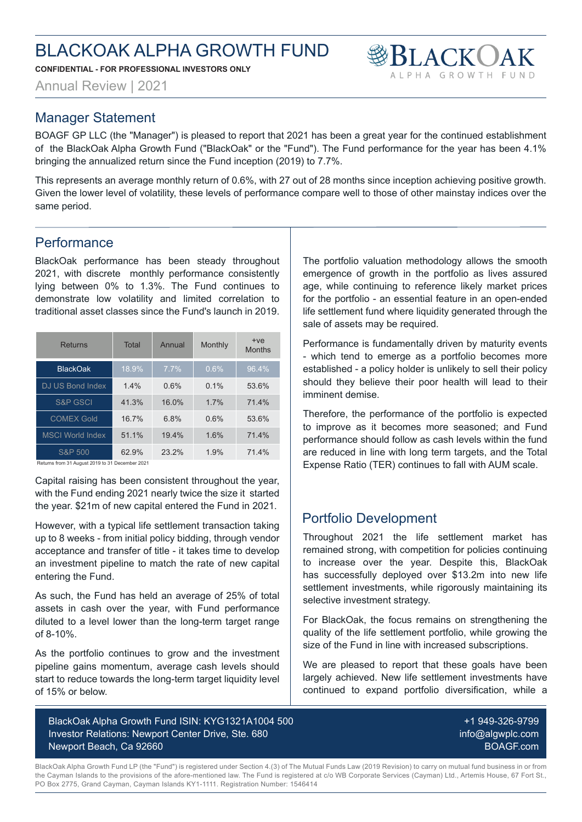**CONFIDENTIAL - FOR PROFESSIONAL INVESTORS ONLY**

Annual Review | 2021

#### Manager Statement

BOAGF GP LLC (the "Manager") is pleased to report that 2021 has been a great year for the continued establishment of the BlackOak Alpha Growth Fund ("BlackOak" or the "Fund"). The Fund performance for the year has been 4.1% bringing the annualized return since the Fund inception (2019) to 7.7%.

This represents an average monthly return of 0.6%, with 27 out of 28 months since inception achieving positive growth. Given the lower level of volatility, these levels of performance compare well to those of other mainstay indices over the same period.

#### **Performance**

BlackOak performance has been steady throughout 2021, with discrete monthly performance consistently lying between 0% to 1.3%. The Fund continues to demonstrate low volatility and limited correlation to traditional asset classes since the Fund's launch in 2019.

| Returns                 | Total | Annual  | Monthly | $+ve$<br><b>Months</b> |
|-------------------------|-------|---------|---------|------------------------|
| <b>BlackOak</b>         | 18.9% | $7.7\%$ | 0.6%    | 96.4%                  |
| DJ US Bond Index        | 14%   | 0.6%    | $0.1\%$ | 53.6%                  |
| <b>S&amp;P GSCI</b>     | 41.3% | 16.0%   | 17%     | 714%                   |
| <b>COMEX Gold</b>       | 16 7% | 6.8%    | 0.6%    | 53.6%                  |
| <b>MSCI World Index</b> | 51 1% | 19.4%   | 1.6%    | 714%                   |
| S&P 500                 | 62.9% | 23.2%   | 1.9%    | 71.4%                  |

Returns from 31 August 2019 to 31 December 2021

Capital raising has been consistent throughout the year, with the Fund ending 2021 nearly twice the size it started the year. \$21m of new capital entered the Fund in 2021.

However, with a typical life settlement transaction taking up to 8 weeks - from initial policy bidding, through vendor acceptance and transfer of title - it takes time to develop an investment pipeline to match the rate of new capital entering the Fund.

As such, the Fund has held an average of 25% of total assets in cash over the year, with Fund performance diluted to a level lower than the long-term target range of 8-10%.

As the portfolio continues to grow and the investment pipeline gains momentum, average cash levels should start to reduce towards the long-term target liquidity level of 15% or below.

BlackOak Alpha Growth Fund ISIN: KYG1321A1004 500 Investor Relations: Newport Center Drive, Ste. 680 Newport Beach, Ca 92660

The portfolio valuation methodology allows the smooth emergence of growth in the portfolio as lives assured age, while continuing to reference likely market prices for the portfolio - an essential feature in an open-ended life settlement fund where liquidity generated through the sale of assets may be required.

**BLACKOAK** 

Performance is fundamentally driven by maturity events - which tend to emerge as a portfolio becomes more established - a policy holder is unlikely to sell their policy should they believe their poor health will lead to their imminent demise.

Therefore, the performance of the portfolio is expected to improve as it becomes more seasoned; and Fund performance should follow as cash levels within the fund are reduced in line with long term targets, and the Total Expense Ratio (TER) continues to fall with AUM scale.

### Portfolio Development

Throughout 2021 the life settlement market has remained strong, with competition for policies continuing to increase over the year. Despite this, BlackOak has successfully deployed over \$13.2m into new life settlement investments, while rigorously maintaining its selective investment strategy.

For BlackOak, the focus remains on strengthening the quality of the life settlement portfolio, while growing the size of the Fund in line with increased subscriptions.

We are pleased to report that these goals have been largely achieved. New life settlement investments have continued to expand portfolio diversification, while a

> +1 949-326-9799 info@algwplc.com BOAGF.com

BlackOak Alpha Growth Fund LP (the "Fund") is registered under Section 4.(3) of The Mutual Funds Law (2019 Revision) to carry on mutual fund business in or from the Cayman Islands to the provisions of the afore-mentioned law. The Fund is registered at c/o WB Corporate Services (Cayman) Ltd., Artemis House, 67 Fort St., PO Box 2775, Grand Cayman, Cayman Islands KY1-1111. Registration Number: 1546414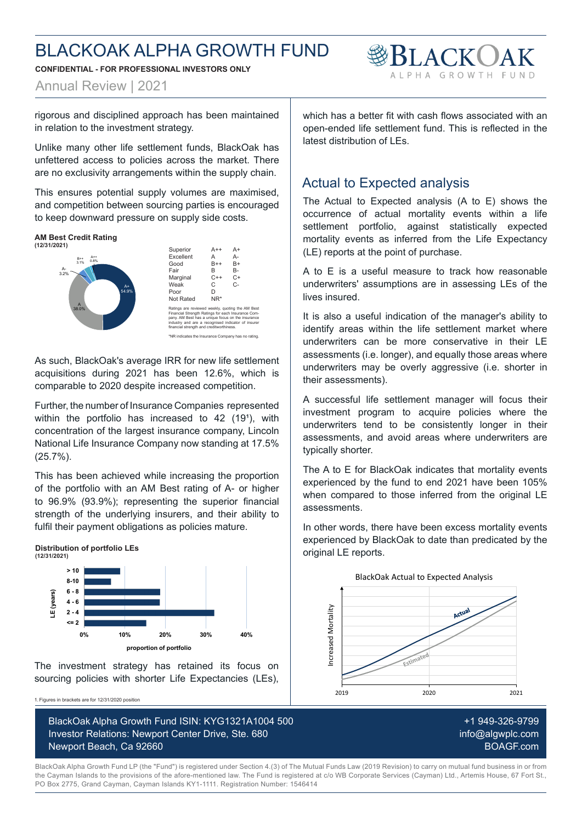**CONFIDENTIAL - FOR PROFESSIONAL INVESTORS ONLY**



Annual Review | 2021

rigorous and disciplined approach has been maintained in relation to the investment strategy.

Unlike many other life settlement funds, BlackOak has unfettered access to policies across the market. There are no exclusivity arrangements within the supply chain.

This ensures potential supply volumes are maximised, and competition between sourcing parties is encouraged to keep downward pressure on supply side costs.

#### **AM Best Credit Rating (12/31/2021)**





\*NR indicates the Insurance Company has no rating.

As such, BlackOak's average IRR for new life settlement acquisitions during 2021 has been 12.6%, which is comparable to 2020 despite increased competition.

Further, the number of Insurance Companies represented within the portfolio has increased to  $42$  (19<sup>1</sup>), with concentration of the largest insurance company, Lincoln National Life Insurance Company now standing at 17.5% (25.7%).

This has been achieved while increasing the proportion of the portfolio with an AM Best rating of A- or higher to 96.9% (93.9%); representing the superior financial strength of the underlying insurers, and their ability to fulfil their payment obligations as policies mature.



The investment strategy has retained its focus on sourcing policies with shorter Life Expectancies (LEs),

1. Figures in brackets are for 12/31/2020 position

BlackOak Alpha Growth Fund ISIN: KYG1321A1004 500 Investor Relations: Newport Center Drive, Ste. 680 Newport Beach, Ca 92660

which has a better fit with cash flows associated with an open-ended life settlement fund. This is reflected in the latest distribution of LEs.

#### Actual to Expected analysis

The Actual to Expected analysis (A to E) shows the occurrence of actual mortality events within a life settlement portfolio, against statistically expected mortality events as inferred from the Life Expectancy (LE) reports at the point of purchase.

A to E is a useful measure to track how reasonable underwriters' assumptions are in assessing LEs of the lives insured.

It is also a useful indication of the manager's ability to identify areas within the life settlement market where underwriters can be more conservative in their LE assessments (i.e. longer), and equally those areas where underwriters may be overly aggressive (i.e. shorter in their assessments).

A successful life settlement manager will focus their investment program to acquire policies where the underwriters tend to be consistently longer in their assessments, and avoid areas where underwriters are typically shorter.

The A to E for BlackOak indicates that mortality events experienced by the fund to end 2021 have been 105% when compared to those inferred from the original LE assessments.

In other words, there have been excess mortality events experienced by BlackOak to date than predicated by the original LE reports.



+1 949-326-9799 info@algwplc.com BOAGF.com

BlackOak Alpha Growth Fund LP (the "Fund") is registered under Section 4.(3) of The Mutual Funds Law (2019 Revision) to carry on mutual fund business in or from the Cayman Islands to the provisions of the afore-mentioned law. The Fund is registered at c/o WB Corporate Services (Cayman) Ltd., Artemis House, 67 Fort St., PO Box 2775, Grand Cayman, Cayman Islands KY1-1111. Registration Number: 1546414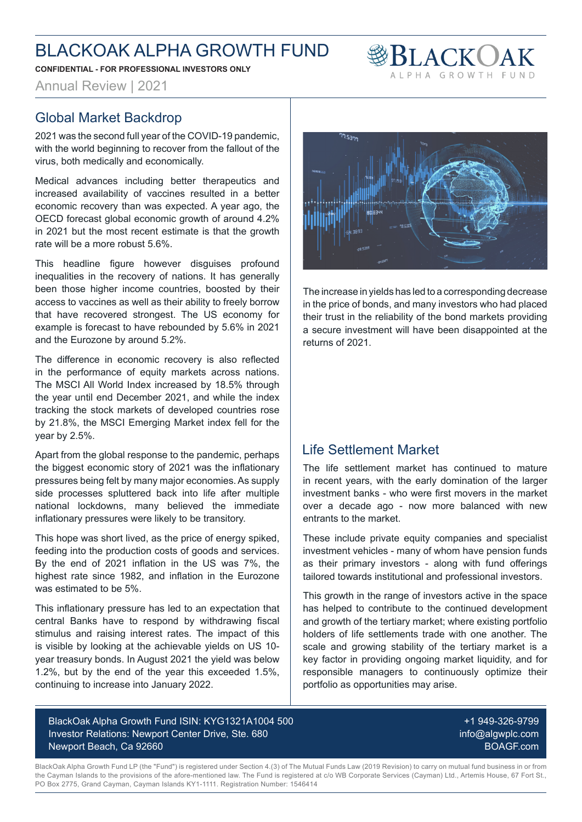**CONFIDENTIAL - FOR PROFESSIONAL INVESTORS ONLY**



Annual Review | 2021

#### Global Market Backdrop

2021 was the second full year of the COVID-19 pandemic, with the world beginning to recover from the fallout of the virus, both medically and economically.

Medical advances including better therapeutics and increased availability of vaccines resulted in a better economic recovery than was expected. A year ago, the OECD forecast global economic growth of around 4.2% in 2021 but the most recent estimate is that the growth rate will be a more robust 5.6%.

This headline figure however disguises profound inequalities in the recovery of nations. It has generally been those higher income countries, boosted by their access to vaccines as well as their ability to freely borrow that have recovered strongest. The US economy for example is forecast to have rebounded by 5.6% in 2021 and the Eurozone by around 5.2%.

The difference in economic recovery is also reflected in the performance of equity markets across nations. The MSCI All World Index increased by 18.5% through the year until end December 2021, and while the index tracking the stock markets of developed countries rose by 21.8%, the MSCI Emerging Market index fell for the year by 2.5%.

Apart from the global response to the pandemic, perhaps the biggest economic story of 2021 was the inflationary pressures being felt by many major economies. As supply side processes spluttered back into life after multiple national lockdowns, many believed the immediate inflationary pressures were likely to be transitory.

This hope was short lived, as the price of energy spiked, feeding into the production costs of goods and services. By the end of 2021 inflation in the US was 7%, the highest rate since 1982, and inflation in the Eurozone was estimated to be 5%.

This inflationary pressure has led to an expectation that central Banks have to respond by withdrawing fiscal stimulus and raising interest rates. The impact of this is visible by looking at the achievable yields on US 10 year treasury bonds. In August 2021 the yield was below 1.2%, but by the end of the year this exceeded 1.5%, continuing to increase into January 2022.



The increase in yields has led to a corresponding decrease in the price of bonds, and many investors who had placed their trust in the reliability of the bond markets providing a secure investment will have been disappointed at the returns of 2021.

#### Life Settlement Market

The life settlement market has continued to mature in recent years, with the early domination of the larger investment banks - who were first movers in the market over a decade ago - now more balanced with new entrants to the market.

These include private equity companies and specialist investment vehicles - many of whom have pension funds as their primary investors - along with fund offerings tailored towards institutional and professional investors.

This growth in the range of investors active in the space has helped to contribute to the continued development and growth of the tertiary market; where existing portfolio holders of life settlements trade with one another. The scale and growing stability of the tertiary market is a key factor in providing ongoing market liquidity, and for responsible managers to continuously optimize their portfolio as opportunities may arise.

BlackOak Alpha Growth Fund ISIN: KYG1321A1004 500 Investor Relations: Newport Center Drive, Ste. 680 Newport Beach, Ca 92660

+1 949-326-9799 info@algwplc.com BOAGF.com

BlackOak Alpha Growth Fund LP (the "Fund") is registered under Section 4.(3) of The Mutual Funds Law (2019 Revision) to carry on mutual fund business in or from the Cayman Islands to the provisions of the afore-mentioned law. The Fund is registered at c/o WB Corporate Services (Cayman) Ltd., Artemis House, 67 Fort St., PO Box 2775, Grand Cayman, Cayman Islands KY1-1111. Registration Number: 1546414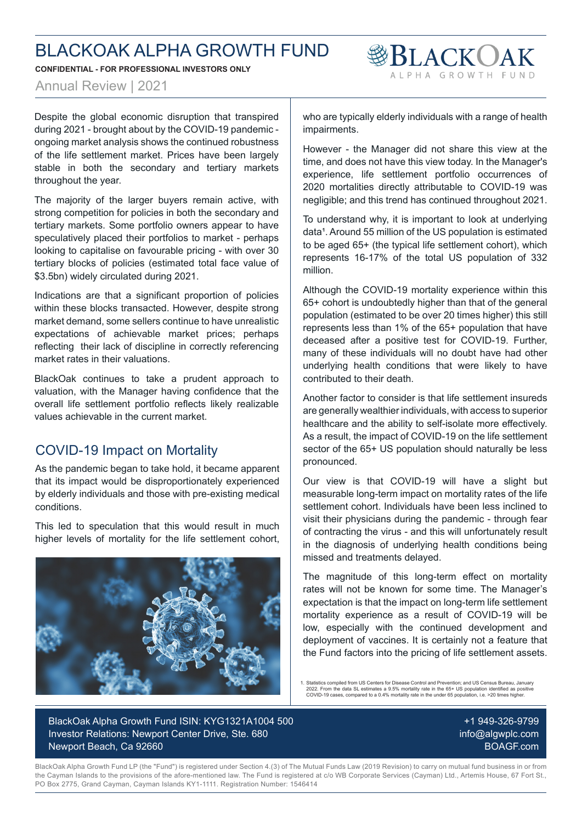**CONFIDENTIAL - FOR PROFESSIONAL INVESTORS ONLY**

Annual Review | 2021

Despite the global economic disruption that transpired during 2021 - brought about by the COVID-19 pandemic ongoing market analysis shows the continued robustness of the life settlement market. Prices have been largely stable in both the secondary and tertiary markets throughout the year.

The majority of the larger buyers remain active, with strong competition for policies in both the secondary and tertiary markets. Some portfolio owners appear to have speculatively placed their portfolios to market - perhaps looking to capitalise on favourable pricing - with over 30 tertiary blocks of policies (estimated total face value of \$3.5bn) widely circulated during 2021.

Indications are that a significant proportion of policies within these blocks transacted. However, despite strong market demand, some sellers continue to have unrealistic expectations of achievable market prices; perhaps reflecting their lack of discipline in correctly referencing market rates in their valuations.

BlackOak continues to take a prudent approach to valuation, with the Manager having confidence that the overall life settlement portfolio reflects likely realizable values achievable in the current market.

### COVID-19 Impact on Mortality

As the pandemic began to take hold, it became apparent that its impact would be disproportionately experienced by elderly individuals and those with pre-existing medical conditions.

This led to speculation that this would result in much higher levels of mortality for the life settlement cohort,



who are typically elderly individuals with a range of health impairments.

**SBLACKOAK** 

However - the Manager did not share this view at the time, and does not have this view today. In the Manager's experience, life settlement portfolio occurrences of 2020 mortalities directly attributable to COVID-19 was negligible; and this trend has continued throughout 2021.

To understand why, it is important to look at underlying data<sup>1</sup>. Around 55 million of the US population is estimated to be aged 65+ (the typical life settlement cohort), which represents 16-17% of the total US population of 332 million.

Although the COVID-19 mortality experience within this 65+ cohort is undoubtedly higher than that of the general population (estimated to be over 20 times higher) this still represents less than 1% of the 65+ population that have deceased after a positive test for COVID-19. Further, many of these individuals will no doubt have had other underlying health conditions that were likely to have contributed to their death.

Another factor to consider is that life settlement insureds are generally wealthier individuals, with access to superior healthcare and the ability to self-isolate more effectively. As a result, the impact of COVID-19 on the life settlement sector of the 65+ US population should naturally be less pronounced.

Our view is that COVID-19 will have a slight but measurable long-term impact on mortality rates of the life settlement cohort. Individuals have been less inclined to visit their physicians during the pandemic - through fear of contracting the virus - and this will unfortunately result in the diagnosis of underlying health conditions being missed and treatments delayed.

The magnitude of this long-term effect on mortality rates will not be known for some time. The Manager's expectation is that the impact on long-term life settlement mortality experience as a result of COVID-19 will be low, especially with the continued development and deployment of vaccines. It is certainly not a feature that the Fund factors into the pricing of life settlement assets.

1. Statistics compiled from US Centers for Disease Control and Prevention; and US Census Bureau, January 2022. From the data SL estimates a 9.5% mortality rate in the 65+ US population identified as positive COVID-19 cases, compared to a 0.4% mortality rate in the under 65 population, i.e. >20 times higher.

BlackOak Alpha Growth Fund ISIN: KYG1321A1004 500 Investor Relations: Newport Center Drive, Ste. 680 Newport Beach, Ca 92660

+1 949-326-9799 info@algwplc.com BOAGF.com

BlackOak Alpha Growth Fund LP (the "Fund") is registered under Section 4.(3) of The Mutual Funds Law (2019 Revision) to carry on mutual fund business in or from the Cayman Islands to the provisions of the afore-mentioned law. The Fund is registered at c/o WB Corporate Services (Cayman) Ltd., Artemis House, 67 Fort St., PO Box 2775, Grand Cayman, Cayman Islands KY1-1111. Registration Number: 1546414